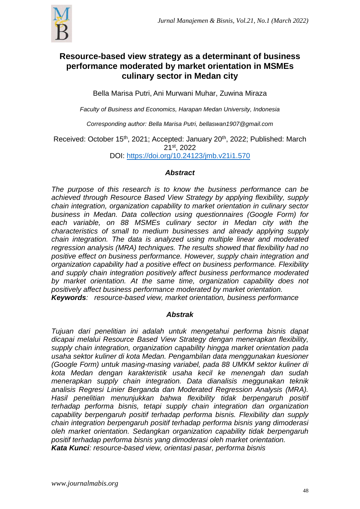

# **Resource-based view strategy as a determinant of business performance moderated by market orientation in MSMEs culinary sector in Medan city**

Bella Marisa Putri, Ani Murwani Muhar, Zuwina Miraza

*Faculty of Business and Economics, Harapan Medan University, Indonesia*

*Corresponding author: Bella Marisa Putri, bellaswan1907@gmail.com*

Received: October 15<sup>th</sup>, 2021; Accepted: January 20<sup>th</sup>, 2022; Published: March 21st , 2022

DOI: <https://doi.org/10.24123/jmb.v21i1.570>

# *Abstract*

*The purpose of this research is to know the business performance can be achieved through Resource Based View Strategy by applying flexibility, supply chain integration, organization capability to market orientation in culinary sector business in Medan. Data collection using questionnaires (Google Form) for each variable, on 88 MSMEs culinary sector in Medan city with the characteristics of small to medium businesses and already applying supply chain integration. The data is analyzed using multiple linear and moderated regression analysis (MRA) techniques. The results showed that flexibility had no positive effect on business performance. However, supply chain integration and organization capability had a positive effect on business performance. Flexibility and supply chain integration positively affect business performance moderated by market orientation. At the same time, organization capability does not positively affect business performance moderated by market orientation. Keywords: resource-based view, market orientation, business performance*

# *Abstrak*

*Tujuan dari penelitian ini adalah untuk mengetahui performa bisnis dapat dicapai melalui Resource Based View Strategy dengan menerapkan flexibility, supply chain integration, organization capability hingga market orientation pada usaha sektor kuliner di kota Medan. Pengambilan data menggunakan kuesioner (Google Form) untuk masing-masing variabel, pada 88 UMKM sektor kuliner di kota Medan dengan karakteristik usaha kecil ke menengah dan sudah menerapkan supply chain integration. Data dianalisis meggunakan teknik analisis Regresi Linier Berganda dan Moderated Regression Analysis (MRA). Hasil penelitian menunjukkan bahwa flexibility tidak berpengaruh positif terhadap performa bisnis, tetapi supply chain integration dan organization capability berpengaruh positif terhadap performa bisnis. Flexibility dan supply chain integration berpengaruh positif terhadap performa bisnis yang dimoderasi oleh market orientation. Sedangkan organization capability tidak berpengaruh positif terhadap performa bisnis yang dimoderasi oleh market orientation. Kata Kunci: resource-based view, orientasi pasar, performa bisnis*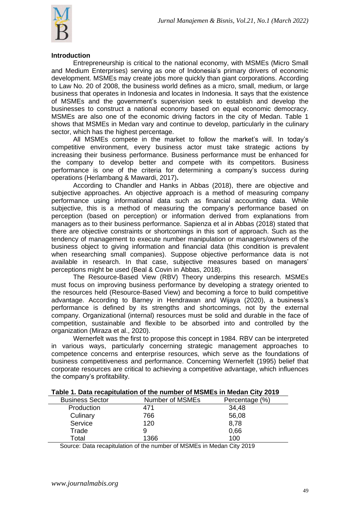

#### **Introduction**

Entrepreneurship is critical to the national economy, with MSMEs (Micro Small and Medium Enterprises) serving as one of Indonesia's primary drivers of economic development. MSMEs may create jobs more quickly than giant corporations. According to Law No. 20 of 2008, the business world defines as a micro, small, medium, or large business that operates in Indonesia and locates in Indonesia. It says that the existence of MSMEs and the government's supervision seek to establish and develop the businesses to construct a national economy based on equal economic democracy. MSMEs are also one of the economic driving factors in the city of Medan. Table 1 shows that MSMEs in Medan vary and continue to develop, particularly in the culinary sector, which has the highest percentage.

All MSMEs compete in the market to follow the market's will. In today's competitive environment, every business actor must take strategic actions by increasing their business performance. Business performance must be enhanced for the company to develop better and compete with its competitors. Business performance is one of the criteria for determining a company's success during operations (Herlambang & Mawardi, 2017)**.**

According to Chandler and Hanks in Abbas (2018), there are objective and subjective approaches. An objective approach is a method of measuring company performance using informational data such as financial accounting data. While subjective, this is a method of measuring the company's performance based on perception (based on perception) or information derived from explanations from managers as to their business performance. Sapienza et al in Abbas (2018) stated that there are objective constraints or shortcomings in this sort of approach. Such as the tendency of management to execute number manipulation or managers/owners of the business object to giving information and financial data (this condition is prevalent when researching small companies). Suppose objective performance data is not available in research. In that case, subjective measures based on managers' perceptions might be used (Beal & Covin in Abbas, 2018).

The Resource-Based View (RBV) Theory underpins this research. MSMEs must focus on improving business performance by developing a strategy oriented to the resources held (Resource-Based View) and becoming a force to build competitive advantage. According to Barney in Hendrawan and Wijaya (2020), a business's performance is defined by its strengths and shortcomings, not by the external company. Organizational (internal) resources must be solid and durable in the face of competition, sustainable and flexible to be absorbed into and controlled by the organization (Miraza et al., 2020).

Wernerfelt was the first to propose this concept in 1984. RBV can be interpreted in various ways, particularly concerning strategic management approaches to competence concerns and enterprise resources, which serve as the foundations of business competitiveness and performance. Concerning Wernerfelt (1995) belief that corporate resources are critical to achieving a competitive advantage, which influences the company's profitability.

| <b>Business Sector</b> | Number of MSMEs | Percentage (%) |
|------------------------|-----------------|----------------|
| Production             | 471             | 34,48          |
| Culinary               | 766             | 56,08          |
| Service                | 120             | 8,78           |
| Trade                  |                 | 0,66           |
| Total                  | 1366            | 100            |

#### **Table 1. Data recapitulation of the number of MSMEs in Medan City 2019**

Source: Data recapitulation of the number of MSMEs in Medan City 2019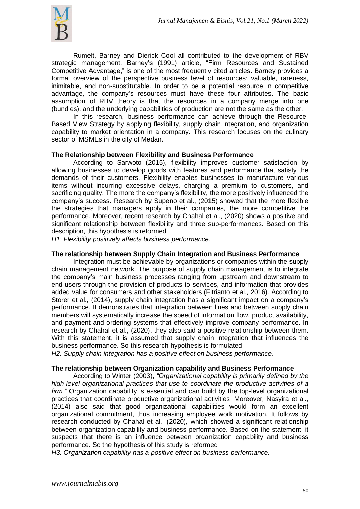

Rumelt, Barney and Dierick Cool all contributed to the development of RBV strategic management. Barney's (1991) article, "Firm Resources and Sustained Competitive Advantage," is one of the most frequently cited articles. Barney provides a formal overview of the perspective business level of resources: valuable, rareness, inimitable, and non-substitutable. In order to be a potential resource in competitive advantage, the company's resources must have these four attributes. The basic assumption of RBV theory is that the resources in a company merge into one (bundles), and the underlying capabilities of production are not the same as the other.

In this research, business performance can achieve through the Resource-Based View Strategy by applying flexibility, supply chain integration, and organization capability to market orientation in a company. This research focuses on the culinary sector of MSMEs in the city of Medan.

#### **The Relationship between Flexibility and Business Performance**

According to Sarwoto (2015), flexibility improves customer satisfaction by allowing businesses to develop goods with features and performance that satisfy the demands of their customers. Flexibility enables businesses to manufacture various items without incurring excessive delays, charging a premium to customers, and sacrificing quality. The more the company's flexibility, the more positively influenced the company's success. Research by Supeno et al., (2015) showed that the more flexible the strategies that managers apply in their companies, the more competitive the performance. Moreover, recent research by Chahal et al., (2020) shows a positive and significant relationship between flexibility and three sub-performances. Based on this description, this hypothesis is reformed

*H1: Flexibility positively affects business performance.*

#### **The relationship between Supply Chain Integration and Business Performance**

Integration must be achievable by organizations or companies within the supply chain management network. The purpose of supply chain management is to integrate the company's main business processes ranging from upstream and downstream to end-users through the provision of products to services, and information that provides added value for consumers and other stakeholders (Fitrianto et al., 2016). According to Storer et al., (2014), supply chain integration has a significant impact on a company's performance. It demonstrates that integration between lines and between supply chain members will systematically increase the speed of information flow, product availability, and payment and ordering systems that effectively improve company performance. In research by Chahal et al., (2020), they also said a positive relationship between them. With this statement, it is assumed that supply chain integration that influences the business performance. So this research hypothesis is formulated

*H2: Supply chain integration has a positive effect on business performance.*

#### **The relationship between Organization capability and Business Performance**

According to Winter (2003), *"Organizational capability is primarily defined by the high-level organizational practices that use to coordinate the productive activities of a firm."* Organization capability is essential and can build by the top-level organizational practices that coordinate productive organizational activities. Moreover*,* Nasyira et al., (2014) also said that good organizational capabilities would form an excellent organizational commitment, thus increasing employee work motivation. It follows by research conducted by Chahal et al., (2020)**,** which showed a significant relationship between organization capability and business performance. Based on the statement, it suspects that there is an influence between organization capability and business performance. So the hypothesis of this study is reformed

*H3: Organization capability has a positive effect on business performance.*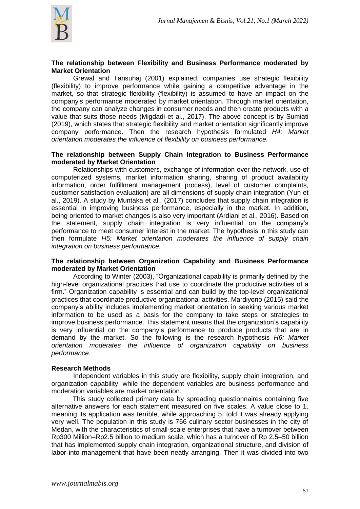

### **The relationship between Flexibility and Business Performance moderated by Market Orientation**

Grewal and Tansuhaj (2001) explained, companies use strategic flexibility (flexibility) to improve performance while gaining a competitive advantage in the market, so that strategic flexibility (flexibility) is assumed to have an impact on the company's performance moderated by market orientation. Through market orientation, the company can analyze changes in consumer needs and then create products with a value that suits those needs (Migdadi et al., 2017). The above concept is by Sumiati (2019), which states that strategic flexibility and market orientation significantly improve company performance. Then the research hypothesis formulated *H4: Market orientation moderates the influence of flexibility on business performance.*

#### **The relationship between Supply Chain Integration to Business Performance moderated by Market Orientation**

Relationships with customers, exchange of information over the network, use of computerized systems, market information sharing, sharing of product availability information, order fulfillment management process), level of customer complaints, customer satisfaction evaluation) are all dimensions of supply chain integration (Yun et al., 2019). A study by Muntaka et al., (2017) concludes that supply chain integration is essential in improving business performance, especially in the market. In addition, being oriented to market changes is also very important (Ardiani et al., 2016). Based on the statement, supply chain integration is very influential on the company's performance to meet consumer interest in the market. The hypothesis in this study can then formulate *H5: Market orientation moderates the influence of supply chain integration on business performance.*

### **The relationship between Organization Capability and Business Performance moderated by Market Orientation**

According to Winter (2003), "Organizational capability is primarily defined by the high-level organizational practices that use to coordinate the productive activities of a firm." Organization capability is essential and can build by the top-level organizational practices that coordinate productive organizational activities. Mardiyono (2015) said the company's ability includes implementing market orientation in seeking various market information to be used as a basis for the company to take steps or strategies to improve business performance. This statement means that the organization's capability is very influential on the company's performance to produce products that are in demand by the market. So the following is the research hypothesis *H6: Market orientation moderates the influence of organization capability on business performance.*

#### **Research Methods**

Independent variables in this study are flexibility, supply chain integration, and organization capability, while the dependent variables are business performance and moderation variables are market orientation.

This study collected primary data by spreading questionnaires containing five alternative answers for each statement measured on five scales. A value close to 1, meaning its application was terrible, while approaching 5, told it was already applying very well. The population in this study is 766 culinary sector businesses in the city of Medan, with the characteristics of small-scale enterprises that have a turnover between Rp300 Million–Rp2.5 billion to medium scale, which has a turnover of Rp 2.5–50 billion that has implemented supply chain integration, organizational structure, and division of labor into management that have been neatly arranging. Then it was divided into two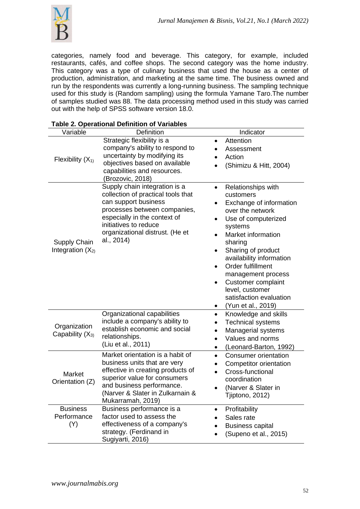

categories, namely food and beverage. This category, for example, included restaurants, cafés, and coffee shops. The second category was the home industry. This category was a type of culinary business that used the house as a center of production, administration, and marketing at the same time. The business owned and run by the respondents was currently a long-running business. The sampling technique used for this study is (Random sampling) using the formula Yamane Taro.The number of samples studied was 88. The data processing method used in this study was carried out with the help of SPSS software version 18.0.

| - • • • • • • • • • • • • •<br>Variable | Definition                                                                                                                                                                                                                            | Indicator                                                                                                                                                                                                                                                                                                                                             |
|-----------------------------------------|---------------------------------------------------------------------------------------------------------------------------------------------------------------------------------------------------------------------------------------|-------------------------------------------------------------------------------------------------------------------------------------------------------------------------------------------------------------------------------------------------------------------------------------------------------------------------------------------------------|
| Flexibility $(X_1)$                     | Strategic flexibility is a<br>company's ability to respond to<br>uncertainty by modifying its<br>objectives based on available<br>capabilities and resources.<br>(Brozovic, 2018)                                                     | Attention<br>Assessment<br>Action<br>(Shimizu & Hitt, 2004)                                                                                                                                                                                                                                                                                           |
| Supply Chain<br>Integration $(X_{2)}$   | Supply chain integration is a<br>collection of practical tools that<br>can support business<br>processes between companies,<br>especially in the context of<br>initiatives to reduce<br>organizational distrust. (He et<br>al., 2014) | Relationships with<br>$\bullet$<br>customers<br>Exchange of information<br>over the network<br>Use of computerized<br>systems<br>Market information<br>sharing<br>Sharing of product<br>availability information<br>Order fulfillment<br>management process<br>Customer complaint<br>level, customer<br>satisfaction evaluation<br>(Yun et al., 2019) |
| Organization<br>Capability $(X_3)$      | Organizational capabilities<br>include a company's ability to<br>establish economic and social<br>relationships.<br>(Liu et al., 2011)                                                                                                | Knowledge and skills<br>$\bullet$<br><b>Technical systems</b><br>Managerial systems<br>$\bullet$<br>Values and norms<br>$\bullet$<br>(Leonard-Barton, 1992)                                                                                                                                                                                           |
| Market<br>Orientation (Z)               | Market orientation is a habit of<br>business units that are very<br>effective in creating products of<br>superior value for consumers<br>and business performance.<br>(Narver & Slater in Zulkarnain &<br>Mukarramah, 2019)           | Consumer orientation<br><b>Competitor orientation</b><br>Cross-functional<br>coordination<br>(Narver & Slater in<br>Tjiptono, 2012)                                                                                                                                                                                                                   |
| <b>Business</b><br>Performance<br>(Y)   | Business performance is a<br>factor used to assess the<br>effectiveness of a company's<br>strategy. (Ferdinand in<br>Sugiyarti, 2016)                                                                                                 | Profitability<br>Sales rate<br><b>Business capital</b><br>(Supeno et al., 2015)                                                                                                                                                                                                                                                                       |

# **Table 2. Operational Definition of Variables**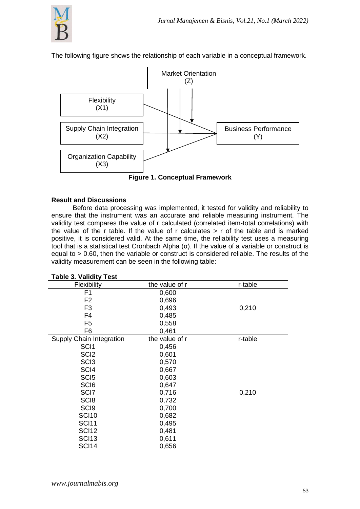

The following figure shows the relationship of each variable in a conceptual framework.



# **Result and Discussions**

Before data processing was implemented, it tested for validity and reliability to ensure that the instrument was an accurate and reliable measuring instrument. The validity test compares the value of r calculated (correlated item-total correlations) with the value of the r table. If the value of r calculates  $>$  r of the table and is marked positive, it is considered valid. At the same time, the reliability test uses a measuring tool that is a statistical test Cronbach Alpha (α). If the value of a variable or construct is equal to > 0.60, then the variable or construct is considered reliable. The results of the validity measurement can be seen in the following table:

| Table 3. Validity Test   |                |         |
|--------------------------|----------------|---------|
| Flexibility              | the value of r | r-table |
| F1                       | 0,600          |         |
| F <sub>2</sub>           | 0,696          |         |
| F <sub>3</sub>           | 0,493          | 0,210   |
| F4                       | 0,485          |         |
| F <sub>5</sub>           | 0,558          |         |
| F <sub>6</sub>           | 0,461          |         |
| Supply Chain Integration | the value of r | r-table |
| SCI <sub>1</sub>         | 0,456          |         |
| SCI <sub>2</sub>         | 0,601          |         |
| SC <sub>I3</sub>         | 0,570          |         |
| SCI4                     | 0,667          |         |
| SCI <sub>5</sub>         | 0,603          |         |
| SCI <sub>6</sub>         | 0,647          |         |
| SCI <sub>7</sub>         | 0,716          | 0,210   |
| SC <sub>I8</sub>         | 0,732          |         |
| SCI <sub>9</sub>         | 0,700          |         |
| <b>SCI10</b>             | 0,682          |         |
| <b>SCI11</b>             | 0,495          |         |
| <b>SCI12</b>             | 0,481          |         |
| <b>SCI13</b>             | 0,611          |         |
| <b>SCI14</b>             | 0,656          |         |

|  | <b>Table 3. Validity Test</b> |
|--|-------------------------------|
|  |                               |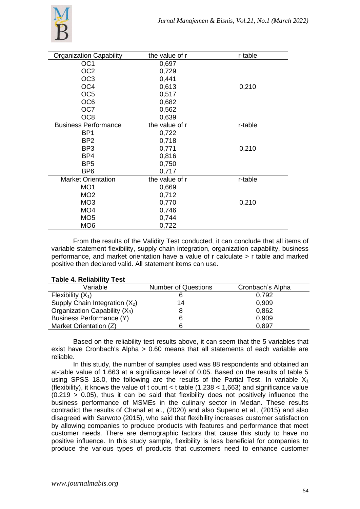

| <b>Organization Capability</b> | the value of r | r-table |
|--------------------------------|----------------|---------|
| OC <sub>1</sub>                | 0,697          |         |
| OC <sub>2</sub>                | 0,729          |         |
| OC <sub>3</sub>                | 0,441          |         |
| OC <sub>4</sub>                | 0,613          | 0,210   |
| OC <sub>5</sub>                | 0,517          |         |
| OC <sub>6</sub>                | 0,682          |         |
| OC7                            | 0,562          |         |
| OC <sub>8</sub>                | 0,639          |         |
| <b>Business Performance</b>    | the value of r | r-table |
| BP <sub>1</sub>                | 0,722          |         |
| BP <sub>2</sub>                | 0,718          |         |
| BP <sub>3</sub>                | 0,771          | 0,210   |
| BP4                            | 0,816          |         |
| BP <sub>5</sub>                | 0,750          |         |
| BP <sub>6</sub>                | 0,717          |         |
| <b>Market Orientation</b>      | the value of r | r-table |
| MO <sub>1</sub>                | 0,669          |         |
| MO <sub>2</sub>                | 0,712          |         |
| MO <sub>3</sub>                | 0,770          | 0,210   |
| MO <sub>4</sub>                | 0,746          |         |
| MO <sub>5</sub>                | 0,744          |         |
| MO <sub>6</sub>                | 0,722          |         |

From the results of the Validity Test conducted, it can conclude that all items of variable statement flexibility, supply chain integration, organization capability, business performance, and market orientation have a value of r calculate > r table and marked positive then declared valid. All statement items can use.

| $1000 - 1100100$                 |                            |                  |
|----------------------------------|----------------------------|------------------|
| Variable                         | <b>Number of Questions</b> | Cronbach's Alpha |
| Flexibility $(X_1)$              |                            | 0.792            |
| Supply Chain Integration $(X_2)$ | 14                         | 0.909            |
| Organization Capability $(X_3)$  |                            | 0,862            |
| Business Performance (Y)         | 6                          | 0,909            |
| Market Orientation (Z)           |                            | 0,897            |
|                                  |                            |                  |

# **Table 4. Reliability Test**

Based on the reliability test results above, it can seem that the 5 variables that exist have Cronbach's Alpha > 0.60 means that all statements of each variable are reliable.

In this study, the number of samples used was 88 respondents and obtained an at-table value of 1.663 at a significance level of 0.05. Based on the results of table 5 using SPSS 18.0, the following are the results of the Partial Test. In variable  $X_1$ (flexibility), it knows the value of t count < t table  $(1,238 < 1,663)$  and significance value  $(0.219 > 0.05)$ , thus it can be said that flexibility does not positively influence the business performance of MSMEs in the culinary sector in Medan. These results contradict the results of Chahal et al., (2020) and also Supeno et al., (2015) and also disagreed with Sarwoto (2015), who said that flexibility increases customer satisfaction by allowing companies to produce products with features and performance that meet customer needs. There are demographic factors that cause this study to have no positive influence. In this study sample, flexibility is less beneficial for companies to produce the various types of products that customers need to enhance customer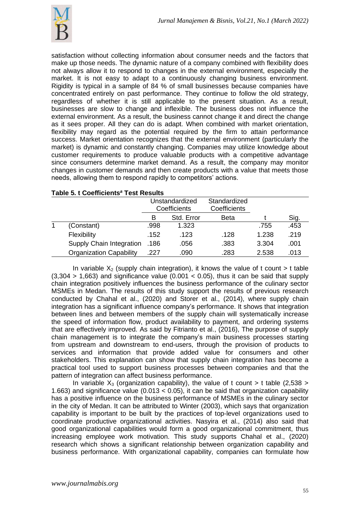

satisfaction without collecting information about consumer needs and the factors that make up those needs. The dynamic nature of a company combined with flexibility does not always allow it to respond to changes in the external environment, especially the market. It is not easy to adapt to a continuously changing business environment. Rigidity is typical in a sample of 84 % of small businesses because companies have concentrated entirely on past performance. They continue to follow the old strategy, regardless of whether it is still applicable to the present situation. As a result, businesses are slow to change and inflexible. The business does not influence the external environment. As a result, the business cannot change it and direct the change as it sees proper. All they can do is adapt. When combined with market orientation, flexibility may regard as the potential required by the firm to attain performance success. Market orientation recognizes that the external environment (particularly the market) is dynamic and constantly changing. Companies may utilize knowledge about customer requirements to produce valuable products with a competitive advantage since consumers determine market demand. As a result, the company may monitor changes in customer demands and then create products with a value that meets those needs, allowing them to respond rapidly to competitors' actions.

|   |                                |      | Unstandardized<br>Coefficients | Standardized<br>Coefficients |       |      |
|---|--------------------------------|------|--------------------------------|------------------------------|-------|------|
|   |                                | в    | Std. Error                     | <b>Beta</b>                  |       | Sig. |
| 1 | (Constant)                     | .998 | 1.323                          |                              | .755  | .453 |
|   | Flexibility                    | .152 | .123                           | .128                         | 1.238 | .219 |
|   | Supply Chain Integration       | .186 | .056                           | .383                         | 3.304 | .001 |
|   | <b>Organization Capability</b> | .227 | .090                           | .283                         | 2.538 | .013 |

# **Table 5. t Coefficients***<sup>a</sup>* **Test Results**

In variable  $X_2$  (supply chain integration), it knows the value of t count  $> t$  table  $(3,304 > 1,663)$  and significance value  $(0.001 < 0.05)$ , thus it can be said that supply chain integration positively influences the business performance of the culinary sector MSMEs in Medan. The results of this study support the results of previous research conducted by Chahal et al., (2020) and Storer et al., (2014), where supply chain integration has a significant influence company's performance. It shows that integration between lines and between members of the supply chain will systematically increase the speed of information flow, product availability to payment, and ordering systems that are effectively improved. As said by Fitrianto et al., (2016), The purpose of supply chain management is to integrate the company's main business processes starting from upstream and downstream to end-users, through the provision of products to services and information that provide added value for consumers and other stakeholders. This explanation can show that supply chain integration has become a practical tool used to support business processes between companies and that the pattern of integration can affect business performance.

In variable  $X_3$  (organization capability), the value of t count  $>$  t table (2,538  $>$ 1.663) and significance value (0.013 < 0.05), it can be said that organization capability has a positive influence on the business performance of MSMEs in the culinary sector in the city of Medan. It can be attributed to Winter (2003), which says that organization capability is important to be built by the practices of top-level organizations used to coordinate productive organizational activities. Nasyira et al., (2014) also said that good organizational capabilities would form a good organizational commitment, thus increasing employee work motivation. This study supports Chahal et al., (2020) research which shows a significant relationship between organization capability and business performance. With organizational capability, companies can formulate how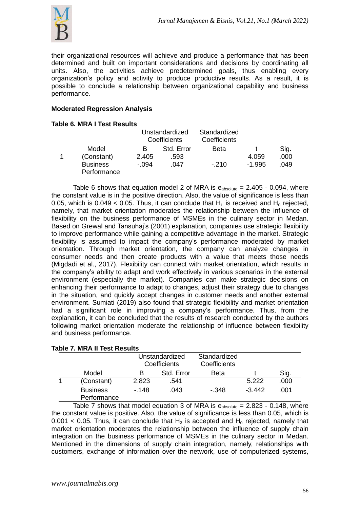

their organizational resources will achieve and produce a performance that has been determined and built on important considerations and decisions by coordinating all units. Also, the activities achieve predetermined goals, thus enabling every organization's policy and activity to produce productive results. As a result, it is possible to conclude a relationship between organizational capability and business performance*.*

# **Moderated Regression Analysis**

| <b>Table 6. MRA I Test Results</b> |         |                                       |                              |          |      |
|------------------------------------|---------|---------------------------------------|------------------------------|----------|------|
|                                    |         | Unstandardized<br><b>Coefficients</b> | Standardized<br>Coefficients |          |      |
| Model                              | В       | Std. Error                            | <b>Beta</b>                  |          | Sig. |
| (Constant)                         | 2.405   | .593                                  |                              | 4.059    | .000 |
| <b>Business</b><br>Performance     | $-0.94$ | .047                                  | $-210$                       | $-1.995$ | .049 |

Table 6 shows that equation model 2 of MRA is  $e_{absolute} = 2.405 - 0.094$ , where the constant value is in the positive direction. Also, the value of significance is less than 0.05, which is  $0.049 < 0.05$ . Thus, it can conclude that H<sub>1</sub> is received and H<sub>0</sub> rejected, namely, that market orientation moderates the relationship between the influence of flexibility on the business performance of MSMEs in the culinary sector in Medan. Based on Grewal and Tansuhaj's (2001) explanation, companies use strategic flexibility to improve performance while gaining a competitive advantage in the market. Strategic flexibility is assumed to impact the company's performance moderated by market orientation. Through market orientation, the company can analyze changes in consumer needs and then create products with a value that meets those needs (Migdadi et al., 2017). Flexibility can connect with market orientation, which results in the company's ability to adapt and work effectively in various scenarios in the external environment (especially the market). Companies can make strategic decisions on enhancing their performance to adapt to changes, adjust their strategy due to changes in the situation, and quickly accept changes in customer needs and another external environment. Sumiati (2019) also found that strategic flexibility and market orientation had a significant role in improving a company's performance. Thus, from the explanation, it can be concluded that the results of research conducted by the authors following market orientation moderate the relationship of influence between flexibility and business performance.

|                                | Unstandardized<br>Coefficients |            | Standardized<br>Coefficients |          |      |
|--------------------------------|--------------------------------|------------|------------------------------|----------|------|
| Model                          | В                              | Std. Error | <b>Beta</b>                  |          | Sig. |
| (Constant)                     | 2.823                          | .541       |                              | 5.222    | .000 |
| <b>Business</b><br>Performance | - 148                          | .043       | - 348                        | $-3.442$ | .001 |

Table 7 shows that model equation 3 of MRA is  $e_{absolute} = 2.823 - 0.148$ , where the constant value is positive. Also, the value of significance is less than 0.05, which is 0.001 < 0.05. Thus, it can conclude that  $H_2$  is accepted and  $H_0$  rejected, namely that market orientation moderates the relationship between the influence of supply chain integration on the business performance of MSMEs in the culinary sector in Medan. Mentioned in the dimensions of supply chain integration, namely, relationships with customers, exchange of information over the network, use of computerized systems,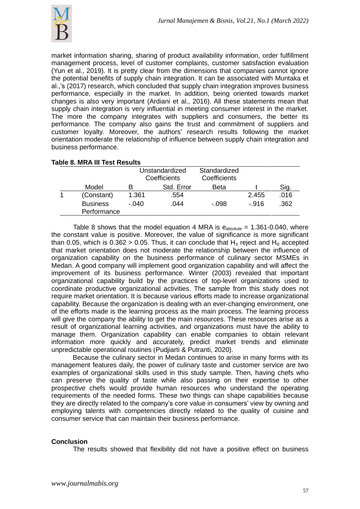

market information sharing, sharing of product availability information, order fulfillment management process, level of customer complaints, customer satisfaction evaluation (Yun et al., 2019). It is pretty clear from the dimensions that companies cannot ignore the potential benefits of supply chain integration. It can be associated with Muntaka et al.,'s (2017) research, which concluded that supply chain integration improves business performance, especially in the market. In addition, being oriented towards market changes is also very important (Ardiani et al., 2016). All these statements mean that supply chain integration is very influential in meeting consumer interest in the market. The more the company integrates with suppliers and consumers, the better its performance. The company also gains the trust and commitment of suppliers and customer loyalty. Moreover, the authors' research results following the market orientation moderate the relationship of influence between supply chain integration and business performance.

|                                |       | Unstandardized<br>Coefficients | Standardized<br>Coefficients |       |      |
|--------------------------------|-------|--------------------------------|------------------------------|-------|------|
| Model                          | в     | Std. Error                     | <b>Beta</b>                  |       | Sig. |
| (Constant)                     | 1.361 | .554                           |                              | 2.455 | .016 |
| <b>Business</b><br>Performance | - 040 | .044                           | - 098                        | - 916 | .362 |

# **Table 8. MRA III Test Results**

Table 8 shows that the model equation 4 MRA is  $e_{\text{absolute}} = 1.361$ -0.040, where the constant value is positive. Moreover, the value of significance is more significant than 0.05, which is  $0.362 > 0.05$ . Thus, it can conclude that H<sub>3</sub> reject and H<sub>0</sub> accepted that market orientation does not moderate the relationship between the influence of organization capability on the business performance of culinary sector MSMEs in Medan. A good company will implement good organization capability and will affect the improvement of its business performance. Winter (2003) revealed that important organizational capability build by the practices of top-level organizations used to coordinate productive organizational activities. The sample from this study does not require market orientation. It is because various efforts made to increase organizational capability. Because the organization is dealing with an ever-changing environment, one of the efforts made is the learning process as the main process. The learning process will give the company the ability to get the main resources. These resources arise as a result of organizational learning activities, and organizations must have the ability to manage them. Organization capability can enable companies to obtain relevant information more quickly and accurately, predict market trends and eliminate unpredictable operational routines (Pudjiarti & Putranti, 2020).

Because the culinary sector in Medan continues to arise in many forms with its management features daily, the power of culinary taste and customer service are two examples of organizational skills used in this study sample. Then, having chefs who can preserve the quality of taste while also passing on their expertise to other prospective chefs would provide human resources who understand the operating requirements of the needed forms. These two things can shape capabilities because they are directly related to the company's core value in consumers' view by owning and employing talents with competencies directly related to the quality of cuisine and consumer service that can maintain their business performance.

# **Conclusion**

The results showed that flexibility did not have a positive effect on business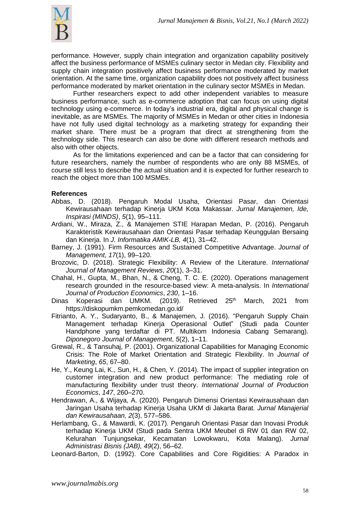

performance. However, supply chain integration and organization capability positively affect the business performance of MSMEs culinary sector in Medan city. Flexibility and supply chain integration positively affect business performance moderated by market orientation. At the same time, organization capability does not positively affect business performance moderated by market orientation in the culinary sector MSMEs in Medan.

Further researchers expect to add other independent variables to measure business performance, such as e-commerce adoption that can focus on using digital technology using e-commerce. In today's industrial era, digital and physical change is inevitable, as are MSMEs. The majority of MSMEs in Medan or other cities in Indonesia have not fully used digital technology as a marketing strategy for expanding their market share. There must be a program that direct at strengthening from the technology side. This research can also be done with different research methods and also with other objects.

As for the limitations experienced and can be a factor that can considering for future researchers, namely the number of respondents who are only 88 MSMEs, of course still less to describe the actual situation and it is expected for further research to reach the object more than 100 MSMEs.

#### **References**

- Abbas, D. (2018). Pengaruh Modal Usaha, Orientasi Pasar, dan Orientasi Kewirausahaan terhadap Kinerja UKM Kota Makassar. *Jurnal Manajemen, Ide, Inspirasi (MINDS)*, *5*(1), 95–111.
- Ardiani, W., Miraza, Z., & Manajemen STIE Harapan Medan, P. (2016). Pengaruh Karakteristik Kewirausahaan dan Orientasi Pasar terhadap Keunggulan Bersaing dan Kinerja. In *J. Informatika AMIK-LB, 4*(1), 31–42.
- Barney, J. (1991). Firm Resources and Sustained Competitive Advantage. *Journal of Management, 17*(1), 99–120.
- Brozovic, D. (2018). Strategic Flexibility: A Review of the Literature. *International Journal of Management Reviews*, *20*(1), 3–31.
- Chahal, H., Gupta, M., Bhan, N., & Cheng, T. C. E. (2020). Operations management research grounded in the resource-based view: A meta-analysis. In *International Journal of Production Economics*, *230*, 1–16.
- Dinas Koperasi dan UMKM. (2019). Retrieved 25<sup>th</sup> March, 2021 from https://diskopumkm.pemkomedan.go.id/
- Fitrianto, A. Y., Sudaryanto, B., & Manajemen, J. (2016). "Pengaruh Supply Chain Management terhadap Kinerja Operasional Outlet" (Studi pada Counter Handphone yang terdaftar di PT. Multikom Indonesia Cabang Semarang). *Diponegoro Journal of Management*, *5*(2), 1–11.
- Grewal, R., & Tansuhaj, P. (2001). Organizational Capabilities for Managing Economic Crisis: The Role of Market Orientation and Strategic Flexibility. In *Journal of Marketing*, *65*, 67–80.
- He, Y., Keung Lai, K., Sun, H., & Chen, Y. (2014). The impact of supplier integration on customer integration and new product performance: The mediating role of manufacturing flexibility under trust theory. *International Journal of Production Economics*, *147*, 260–270.
- Hendrawan, A., & Wijaya, A. (2020). Pengaruh Dimensi Orientasi Kewirausahaan dan Jaringan Usaha terhadap Kinerja Usaha UKM di Jakarta Barat. *Jurnal Manajerial dan Kewirausahaan, 2*(3), 577–586.
- Herlambang, G., & Mawardi, K. (2017). Pengaruh Orientasi Pasar dan Inovasi Produk terhadap Kinerja UKM (Studi pada Sentra UKM Meubel di RW 01 dan RW 02, Kelurahan Tunjungsekar, Kecamatan Lowokwaru, Kota Malang). *Jurnal Administrasi Bisnis (JAB), 49*(2), 56–62.

Leonard-Barton, D. (1992). Core Capabilities and Core Rigidities: A Paradox in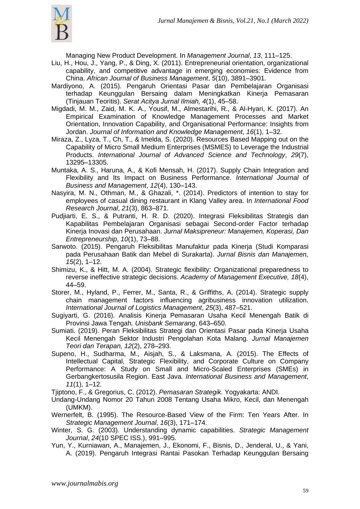

Managing New Product Development. In *Management Journal*, *13*, 111–125.

- Liu, H., Hou, J., Yang, P., & Ding, X. (2011). Entrepreneurial orientation, organizational capability, and competitive advantage in emerging economies: Evidence from China. *African Journal of Business Management*, *5*(10), 3891–3901.
- Mardiyono, A. (2015). Pengaruh Orientasi Pasar dan Pembelajaran Organisasi terhadap Keunggulan Bersaing dalam Meningkatkan Kinerja Pemasaran (Tinjauan Teoritis). *Serat Acitya Jurnal Ilmiah, 4*(1), 45–58.
- Migdadi, M. M., Zaid, M. K. A., Yousif, M., Almestarihi, R., & Al-Hyari, K. (2017). An Empirical Examination of Knowledge Management Processes and Market Orientation, Innovation Capability, and Organisational Performance: Insights from Jordan. *Journal of Information and Knowledge Management*, *16*(1), 1–32.
- Miraza, Z., Lyza, T., Ch, T., & Imelda, S. (2020). Resources Based Mapping out on the Capability of Micro Small Medium Enterprises (MSMES) to Leverage the Industrial Products. *International Journal of Advanced Science and Technology*, *29*(7), 13295–13305.
- Muntaka, A. S., Haruna, A., & Kofi Mensah, H. (2017). Supply Chain Integration and Flexibility and Its Impact on Business Performance. *International Journal of Business and Management*, *12*(4), 130–143.
- Nasyira, M. N., Othman, M., & Ghazali, \*. (2014). Predictors of intention to stay for employees of casual dining restaurant in Klang Valley area. In *International Food Research Journal*, *21*(3), 863–871.
- Pudjiarti, E. S., & Putranti, H. R. D. (2020). Integrasi Fleksibilitas Strategis dan Kapabilitas Pembelajaran Organisasi sebagai Second-order Factor terhadap Kinerja Inovasi dan Perusahaan. *Jurnal Maksipreneur: Manajemen, Koperasi, Dan Entrepreneurship*, *10*(1), 73–88.
- Sarwoto. (2015). Pengaruh Fleksibilitas Manufaktur pada Kinerja (Studi Komparasi pada Perusahaan Batik dan Mebel di Surakarta). *Jurnal Bisnis dan Manajemen, 15*(2), 1–12.
- Shimizu, K., & Hitt, M. A. (2004). Strategic flexibility: Organizational preparedness to reverse ineffective strategic decisions. *Academy of Management Executive, 18*(4), 44–59.
- Storer, M., Hyland, P., Ferrer, M., Santa, R., & Griffiths, A. (2014). Strategic supply chain management factors influencing agribusiness innovation utilization. *International Journal of Logistics Management*, *25*(3), 487–521.
- Sugiyarti, G. (2016). Analisis Kinerja Pemasaran Usaha Kecil Menengah Batik di Provinsi Jawa Tengah*. Unisbank Semarang*, 643–650.
- Sumiati. (2019). Peran Fleksibilitas Strategi dan Orientasi Pasar pada Kinerja Usaha Kecil Menengah Sektor Industri Pengolahan Kota Malang. *Jurnal Manajemen Teori dan Terapan, 12*(2), 278–293.
- Supeno, H., Sudharma, M., Aisjah, S., & Laksmana, A. (2015). The Effects of Intellectual Capital, Strategic Flexibility, and Corporate Culture on Company Performance: A Study on Small and Micro-Scaled Enterprises (SMEs) in Gerbangkertosusila Region. East Java*. International Business and Management*, *11*(1), 1–12.

Tjiptono, F., & Gregorius, C. (2012). *Pemasaran Strategik*. Yogyakarta: ANDI.

- Undang-Undang Nomor 20 Tahun 2008 Tentang Usaha Mikro, Kecil, dan Menengah (UMKM).
- Wernerfelt, B. (1995). The Resource-Based View of the Firm: Ten Years After. In *Strategic Management Journal*, *16*(3), 171–174.
- Winter, S. G. (2003). Understanding dynamic capabilities. *Strategic Management Journal*, *24*(10 SPEC ISS.), 991–995.
- Yun, Y., Kurniawan, A., Manajemen, J., Ekonomi, F., Bisnis, D., Jenderal, U., & Yani, A. (2019). Pengaruh Integrasi Rantai Pasokan Terhadap Keunggulan Bersaing